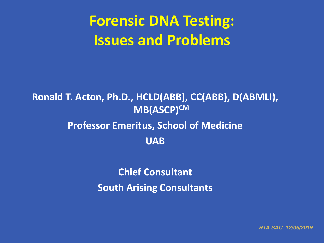# **Forensic DNA Testing: Issues and Problems**

#### **Ronald T. Acton, Ph.D., HCLD(ABB), CC(ABB), D(ABMLI), MB(ASCP)CM Professor Emeritus, School of Medicine UAB**

**Chief Consultant South Arising Consultants**

*RTA.SAC 12/06/2019*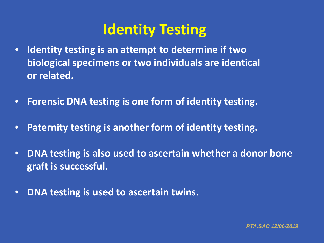### **Identity Testing**

- **Identity testing is an attempt to determine if two biological specimens or two individuals are identical or related.**
- **Forensic DNA testing is one form of identity testing.**
- **Paternity testing is another form of identity testing.**
- **DNA testing is also used to ascertain whether a donor bone graft is successful.**
- **DNA testing is used to ascertain twins.**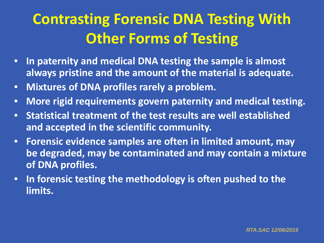# **Contrasting Forensic DNA Testing With Other Forms of Testing**

- **In paternity and medical DNA testing the sample is almost always pristine and the amount of the material is adequate.**
- **Mixtures of DNA profiles rarely a problem.**
- **More rigid requirements govern paternity and medical testing.**
- **Statistical treatment of the test results are well established and accepted in the scientific community.**
- **Forensic evidence samples are often in limited amount, may be degraded, may be contaminated and may contain a mixture of DNA profiles.**
- **In forensic testing the methodology is often pushed to the limits.**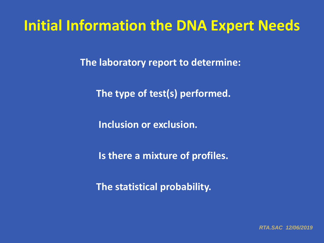### **Initial Information the DNA Expert Needs**

**The laboratory report to determine:**

**The type of test(s) performed.**

**Inclusion or exclusion.**

**Is there a mixture of profiles.**

**The statistical probability.**

*RTA.SAC 12/06/2019*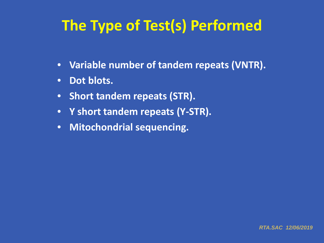# **The Type of Test(s) Performed**

- **Variable number of tandem repeats (VNTR).**
- **Dot blots.**
- **Short tandem repeats (STR).**
- **Y short tandem repeats (Y-STR).**
- **Mitochondrial sequencing.**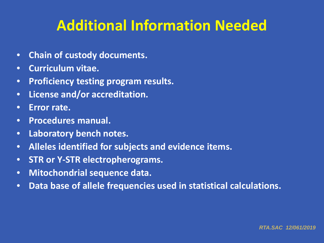## **Additional Information Needed**

- **Chain of custody documents.**
- **Curriculum vitae.**
- **Proficiency testing program results.**
- **License and/or accreditation.**
- **Error rate.**
- **Procedures manual.**
- **Laboratory bench notes.**
- **Alleles identified for subjects and evidence items.**
- **STR or Y-STR electropherograms.**
- **Mitochondrial sequence data.**
- **Data base of allele frequencies used in statistical calculations.**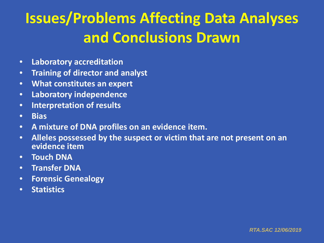# **Issues/Problems Affecting Data Analyses and Conclusions Drawn**

- **Laboratory accreditation**
- **Training of director and analyst**
- **What constitutes an expert**
- **Laboratory independence**
- **Interpretation of results**
- **Bias**
- **A mixture of DNA profiles on an evidence item.**
- **Alleles possessed by the suspect or victim that are not present on an evidence item**
- **Touch DNA**
- **Transfer DNA**
- **Forensic Genealogy**
- **Statistics**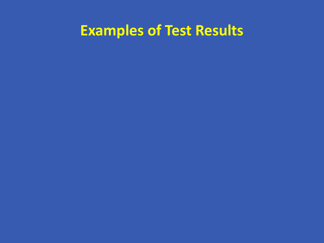## **Examples of Test Results**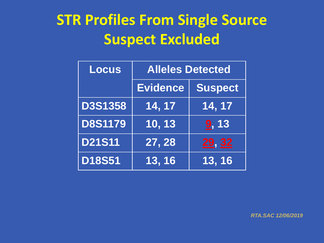# **STR Profiles From Single Source Suspect Excluded**

| <b>Locus</b>   | <b>Alleles Detected</b> |                     |  |
|----------------|-------------------------|---------------------|--|
|                | <b>Evidence</b>         | <b>Suspect</b>      |  |
| <b>D3S1358</b> | 14, 17                  | 14, 17              |  |
| <b>D8S1179</b> | 10, 13                  | 9, 13               |  |
| <b>D21S11</b>  | 27, 28                  | 29, 32              |  |
| <b>D18S51</b>  | 13, 16                  | $\overline{13, 16}$ |  |

*RTA.SAC 12/06/2019*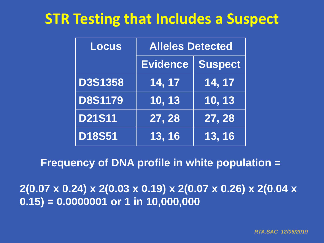### **STR Testing that Includes a Suspect**

| <b>Locus</b>   | <b>Alleles Detected</b> |                     |  |
|----------------|-------------------------|---------------------|--|
|                | Evidence                | <b>Suspect</b>      |  |
| <b>D3S1358</b> | 14, 17                  | $\overline{14, 17}$ |  |
| <b>D8S1179</b> | $\overline{10, 13}$     | $\overline{10, 13}$ |  |
| <b>D21S11</b>  | 27, 28                  | 27, 28              |  |
| <b>D18S51</b>  | 13, 16                  | 13, 16              |  |

#### **Frequency of DNA profile in white population =**

**2(0.07 x 0.24) x 2(0.03 x 0.19) x 2(0.07 x 0.26) x 2(0.04 x 0.15) = 0.0000001 or 1 in 10,000,000**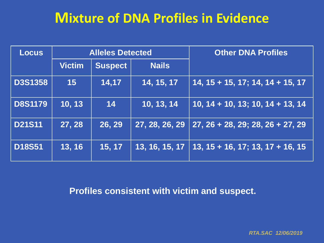#### **Mixture of DNA Profiles in Evidence**

| <b>Locus</b>   | <b>Alleles Detected</b> |                |                | <b>Other DNA Profiles</b>                                                         |  |
|----------------|-------------------------|----------------|----------------|-----------------------------------------------------------------------------------|--|
|                | <b>Victim</b>           | <b>Suspect</b> | <b>Nails</b>   |                                                                                   |  |
| <b>D3S1358</b> | 15                      | 14,17          | 14, 15, 17     | $14, 15 + 15, 17; 14, 14 + 15, 17$                                                |  |
| <b>D8S1179</b> | 10, 13                  | 14             | 10, 13, 14     | $10, 14 + 10, 13; 10, 14 + 13, 14$                                                |  |
| <b>D21S11</b>  | 27, 28                  | 26, 29         | 27, 28, 26, 29 | $27, 26 + 28, 29; 28, 26 + 27, 29$                                                |  |
| <b>D18S51</b>  | 13, 16                  | 15, 17         | 13, 16, 15, 17 | $13, \overline{15} + 16, \overline{17}$ ; 13, $\overline{17} + 16, \overline{15}$ |  |

**Profiles consistent with victim and suspect.**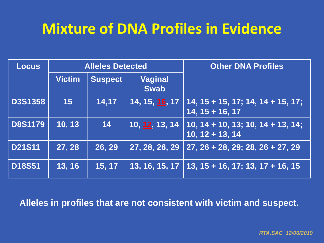### **Mixture of DNA Profiles in Evidence**

| <b>Locus</b>   | <b>Alleles Detected</b> |                |                               | <b>Other DNA Profiles</b>                                |  |
|----------------|-------------------------|----------------|-------------------------------|----------------------------------------------------------|--|
|                | <b>Victim</b>           | <b>Suspect</b> | <b>Vaginal</b><br><b>Swab</b> |                                                          |  |
| <b>D3S1358</b> | 15                      | 14,17          | 14, 15, 16, 17                | $14, 15 + 15, 17; 14, 14 + 15, 17;$<br>$14, 15 + 16, 17$ |  |
| <b>D8S1179</b> | 10, 13                  | 14             | 10, 12, 13, 14                | $10, 14 + 10, 13; 10, 14 + 13, 14;$<br>$10, 12 + 13, 14$ |  |
| <b>D21S11</b>  | 27, 28                  | 26, 29         | 27, 28, 26, 29                | $27, 26 + 28, 29; 28, 26 + 27, 29$                       |  |
| <b>D18S51</b>  | 13, 16                  | 15, 17         | 13, 16, 15, 17                | $13, 15 + 16, 17; 13, 17 + 16, 15$                       |  |

**Alleles in profiles that are not consistent with victim and suspect.**

*RTA.SAC 12/06/2019*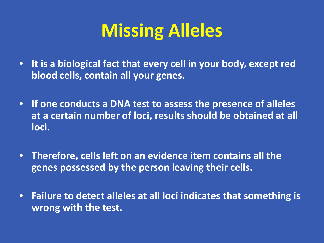# **Missing Alleles**

- **It is a biological fact that every cell in your body, except red blood cells, contain all your genes.**
- **If one conducts a DNA test to assess the presence of alleles at a certain number of loci, results should be obtained at all loci.**
- **Therefore, cells left on an evidence item contains all the genes possessed by the person leaving their cells.**
- **Failure to detect alleles at all loci indicates that something is wrong with the test.**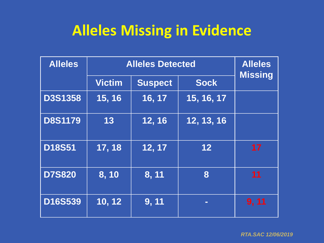## **Alleles Missing in Evidence**

| <b>Alleles</b> | <b>Alleles Detected</b> |                |                | <b>Alleles</b><br><b>Missing</b> |
|----------------|-------------------------|----------------|----------------|----------------------------------|
|                | <b>Victim</b>           | <b>Suspect</b> | <b>Sock</b>    |                                  |
| <b>D3S1358</b> | 15, 16                  | 16, 17         | 15, 16, 17     |                                  |
| <b>D8S1179</b> | 13                      | 12, 16         | 12, 13, 16     |                                  |
| <b>D18S51</b>  | 17, 18                  | 12, 17         | 12             | 17                               |
| <b>D7S820</b>  | 8,10                    | 8, 11          | 8              | 11                               |
| D16S539        | 10, 12                  | 9, 11          | $\blacksquare$ | 9, 11                            |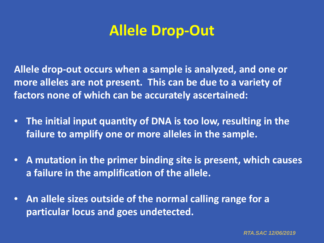### **Allele Drop-Out**

**Allele drop-out occurs when a sample is analyzed, and one or more alleles are not present. This can be due to a variety of factors none of which can be accurately ascertained:** 

- **The initial input quantity of DNA is too low, resulting in the failure to amplify one or more alleles in the sample.**
- **A mutation in the primer binding site is present, which causes a failure in the amplification of the allele.**
- **An allele sizes outside of the normal calling range for a particular locus and goes undetected.**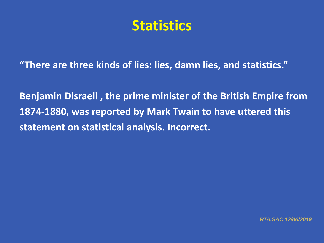#### **Statistics**

**"There are three kinds of lies: lies, damn lies, and statistics."**

**Benjamin Disraeli , the prime minister of the British Empire from 1874-1880, was reported by Mark Twain to have uttered this statement on statistical analysis. Incorrect.**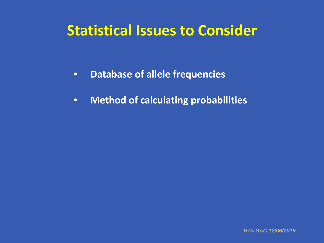### **Statistical Issues to Consider**

- **Database of allele frequencies**
- **Method of calculating probabilities**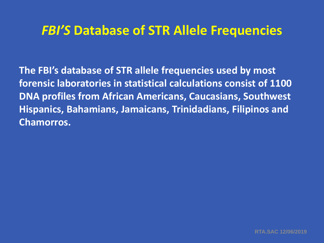#### *FBI'S* **Database of STR Allele Frequencies**

**The FBI's database of STR allele frequencies used by most forensic laboratories in statistical calculations consist of 1100 DNA profiles from African Americans, Caucasians, Southwest Hispanics, Bahamians, Jamaicans, Trinidadians, Filipinos and Chamorros.**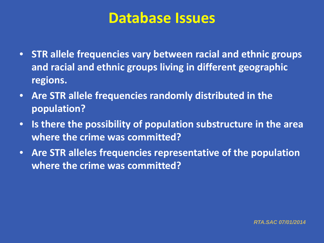#### **Database Issues**

- **STR allele frequencies vary between racial and ethnic groups and racial and ethnic groups living in different geographic regions.**
- **Are STR allele frequencies randomly distributed in the population?**
- **Is there the possibility of population substructure in the area where the crime was committed?**
- **Are STR alleles frequencies representative of the population where the crime was committed?**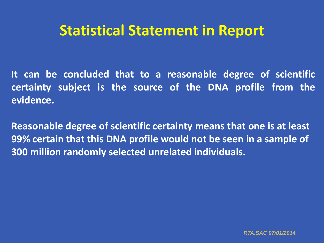**It can be concluded that to a reasonable degree of scientific certainty subject is the source of the DNA profile from the evidence.**

**Reasonable degree of scientific certainty means that one is at least 99% certain that this DNA profile would not be seen in a sample of 300 million randomly selected unrelated individuals.**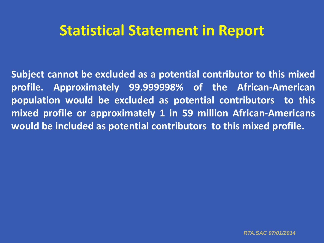**Subject cannot be excluded as a potential contributor to this mixed profile. Approximately 99.999998% of the African-American population would be excluded as potential contributors to this mixed profile or approximately 1 in 59 million African-Americans would be included as potential contributors to this mixed profile.**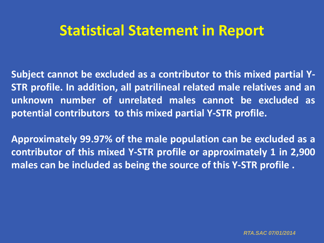**Subject cannot be excluded as a contributor to this mixed partial Y-STR profile. In addition, all patrilineal related male relatives and an unknown number of unrelated males cannot be excluded as potential contributors to this mixed partial Y-STR profile.**

**Approximately 99.97% of the male population can be excluded as a contributor of this mixed Y-STR profile or approximately 1 in 2,900 males can be included as being the source of this Y-STR profile .**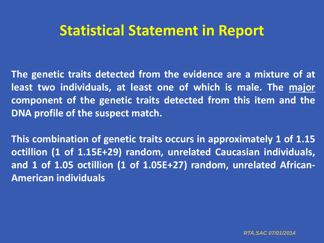**The genetic traits detected from the evidence are a mixture of at least two individuals, at least one of which is male. The major component of the genetic traits detected from this item and the DNA profile of the suspect match.**

**This combination of genetic traits occurs in approximately 1 of 1.15 octillion (1 of 1.15E+29) random, unrelated Caucasian individuals, and 1 of 1.05 octillion (1 of 1.05E+27) random, unrelated African-American individuals**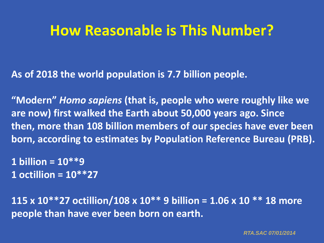### **How Reasonable is This Number?**

**As of 2018 the world population is 7.7 billion people.**

**"Modern"** *Homo sapiens* **(that is, people who were roughly like we are now) first walked the Earth about 50,000 years ago. Since then, more than 108 billion members of our species have ever been born, according to estimates by Population Reference Bureau (PRB).**

**1 billion = 10\*\*9 1 octillion = 10\*\*27**

**115 x 10\*\*27 octillion/108 x 10\*\* 9 billion = 1.06 x 10 \*\* 18 more people than have ever been born on earth.**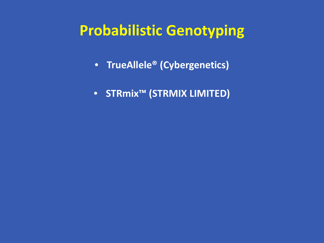### **Probabilistic Genotyping**

- **TrueAllele® (Cybergenetics)**
- **STRmix™ (STRMIX LIMITED)**